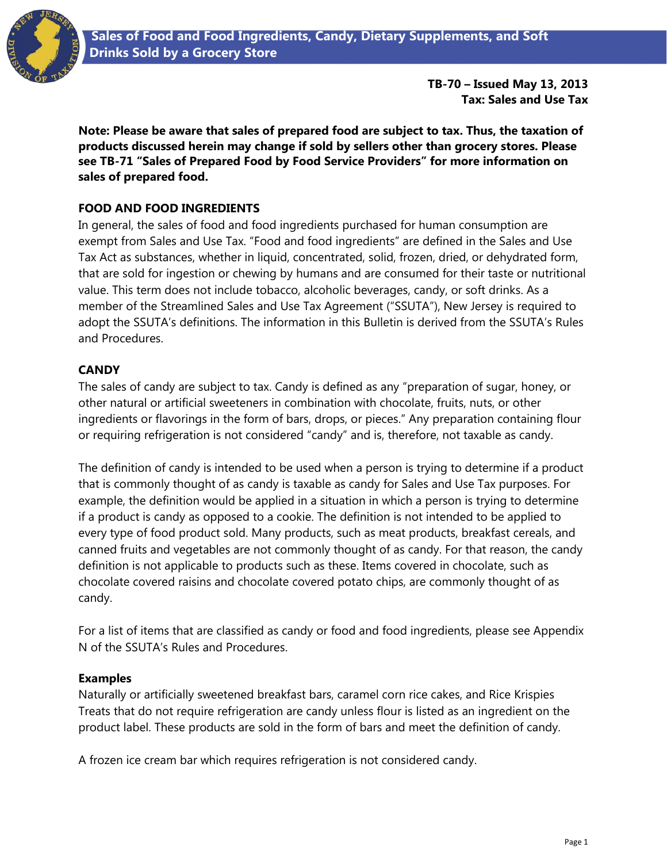

**TB-70 – Issued May 13, 2013 Tax: Sales and Use Tax**

**Note: Please be aware that sales of prepared food are subject to tax. Thus, the taxation of products discussed herein may change if sold by sellers other than grocery stores. Please see TB-71 "Sales of Prepared Food by Food Service Providers" for more information on sales of prepared food.**

## **FOOD AND FOOD INGREDIENTS**

In general, the sales of food and food ingredients purchased for human consumption are exempt from Sales and Use Tax. "Food and food ingredients" are defined in the Sales and Use Tax Act as substances, whether in liquid, concentrated, solid, frozen, dried, or dehydrated form, that are sold for ingestion or chewing by humans and are consumed for their taste or nutritional value. This term does not include tobacco, alcoholic beverages, candy, or soft drinks. As a member of the Streamlined Sales and Use Tax Agreement ("SSUTA"), New Jersey is required to adopt the SSUTA's definitions. The information in this Bulletin is derived from the SSUTA's Rules and Procedures.

## **CANDY**

The sales of candy are subject to tax. Candy is defined as any "preparation of sugar, honey, or other natural or artificial sweeteners in combination with chocolate, fruits, nuts, or other ingredients or flavorings in the form of bars, drops, or pieces." Any preparation containing flour or requiring refrigeration is not considered "candy" and is, therefore, not taxable as candy.

The definition of candy is intended to be used when a person is trying to determine if a product that is commonly thought of as candy is taxable as candy for Sales and Use Tax purposes. For example, the definition would be applied in a situation in which a person is trying to determine if a product is candy as opposed to a cookie. The definition is not intended to be applied to every type of food product sold. Many products, such as meat products, breakfast cereals, and canned fruits and vegetables are not commonly thought of as candy. For that reason, the candy definition is not applicable to products such as these. Items covered in chocolate, such as chocolate covered raisins and chocolate covered potato chips, are commonly thought of as candy.

For a list of items that are classified as candy or food and food ingredients, please see Appendix N of the SSUTA's Rules and Procedures.

#### **Examples**

Naturally or artificially sweetened breakfast bars, caramel corn rice cakes, and Rice Krispies Treats that do not require refrigeration are candy unless flour is listed as an ingredient on the product label. These products are sold in the form of bars and meet the definition of candy.

A frozen ice cream bar which requires refrigeration is not considered candy.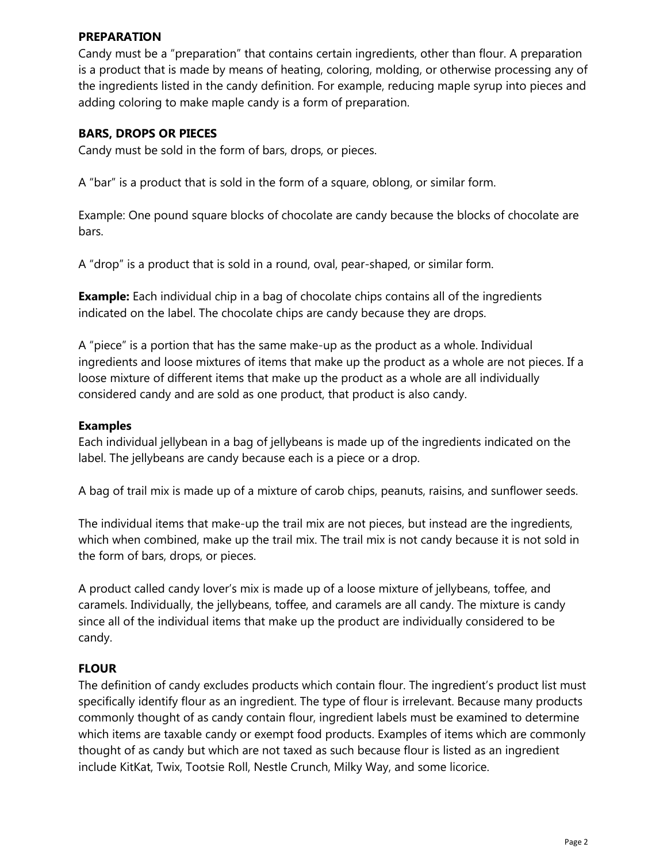### **PREPARATION**

Candy must be a "preparation" that contains certain ingredients, other than flour. A preparation is a product that is made by means of heating, coloring, molding, or otherwise processing any of the ingredients listed in the candy definition. For example, reducing maple syrup into pieces and adding coloring to make maple candy is a form of preparation.

## **BARS, DROPS OR PIECES**

Candy must be sold in the form of bars, drops, or pieces.

A "bar" is a product that is sold in the form of a square, oblong, or similar form.

Example: One pound square blocks of chocolate are candy because the blocks of chocolate are bars.

A "drop" is a product that is sold in a round, oval, pear-shaped, or similar form.

**Example:** Each individual chip in a bag of chocolate chips contains all of the ingredients indicated on the label. The chocolate chips are candy because they are drops.

A "piece" is a portion that has the same make-up as the product as a whole. Individual ingredients and loose mixtures of items that make up the product as a whole are not pieces. If a loose mixture of different items that make up the product as a whole are all individually considered candy and are sold as one product, that product is also candy.

### **Examples**

Each individual jellybean in a bag of jellybeans is made up of the ingredients indicated on the label. The jellybeans are candy because each is a piece or a drop.

A bag of trail mix is made up of a mixture of carob chips, peanuts, raisins, and sunflower seeds.

The individual items that make-up the trail mix are not pieces, but instead are the ingredients, which when combined, make up the trail mix. The trail mix is not candy because it is not sold in the form of bars, drops, or pieces.

A product called candy lover's mix is made up of a loose mixture of jellybeans, toffee, and caramels. Individually, the jellybeans, toffee, and caramels are all candy. The mixture is candy since all of the individual items that make up the product are individually considered to be candy.

## **FLOUR**

The definition of candy excludes products which contain flour. The ingredient's product list must specifically identify flour as an ingredient. The type of flour is irrelevant. Because many products commonly thought of as candy contain flour, ingredient labels must be examined to determine which items are taxable candy or exempt food products. Examples of items which are commonly thought of as candy but which are not taxed as such because flour is listed as an ingredient include KitKat, Twix, Tootsie Roll, Nestle Crunch, Milky Way, and some licorice.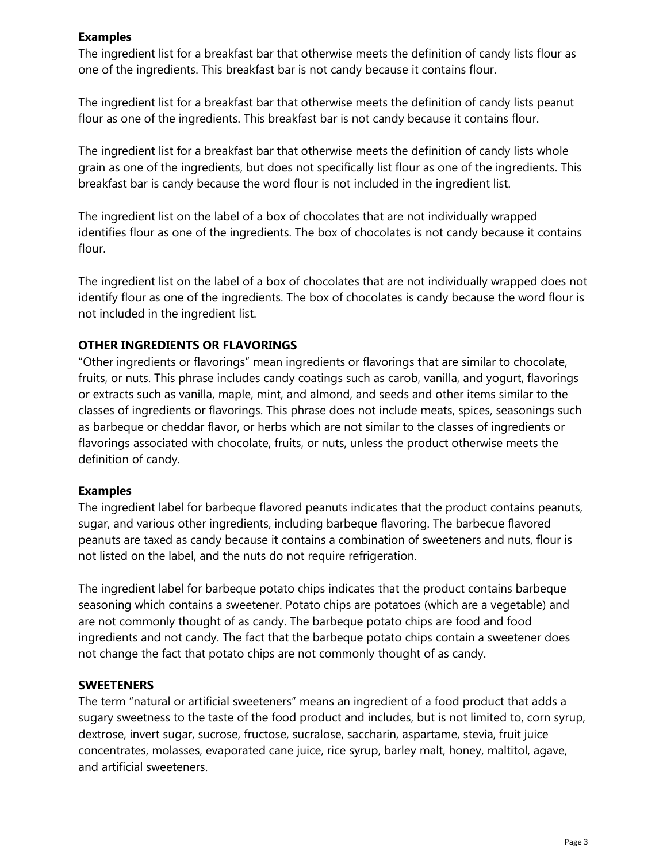## **Examples**

The ingredient list for a breakfast bar that otherwise meets the definition of candy lists flour as one of the ingredients. This breakfast bar is not candy because it contains flour.

The ingredient list for a breakfast bar that otherwise meets the definition of candy lists peanut flour as one of the ingredients. This breakfast bar is not candy because it contains flour.

The ingredient list for a breakfast bar that otherwise meets the definition of candy lists whole grain as one of the ingredients, but does not specifically list flour as one of the ingredients. This breakfast bar is candy because the word flour is not included in the ingredient list.

The ingredient list on the label of a box of chocolates that are not individually wrapped identifies flour as one of the ingredients. The box of chocolates is not candy because it contains flour.

The ingredient list on the label of a box of chocolates that are not individually wrapped does not identify flour as one of the ingredients. The box of chocolates is candy because the word flour is not included in the ingredient list.

## **OTHER INGREDIENTS OR FLAVORINGS**

"Other ingredients or flavorings" mean ingredients or flavorings that are similar to chocolate, fruits, or nuts. This phrase includes candy coatings such as carob, vanilla, and yogurt, flavorings or extracts such as vanilla, maple, mint, and almond, and seeds and other items similar to the classes of ingredients or flavorings. This phrase does not include meats, spices, seasonings such as barbeque or cheddar flavor, or herbs which are not similar to the classes of ingredients or flavorings associated with chocolate, fruits, or nuts, unless the product otherwise meets the definition of candy.

#### **Examples**

The ingredient label for barbeque flavored peanuts indicates that the product contains peanuts, sugar, and various other ingredients, including barbeque flavoring. The barbecue flavored peanuts are taxed as candy because it contains a combination of sweeteners and nuts, flour is not listed on the label, and the nuts do not require refrigeration.

The ingredient label for barbeque potato chips indicates that the product contains barbeque seasoning which contains a sweetener. Potato chips are potatoes (which are a vegetable) and are not commonly thought of as candy. The barbeque potato chips are food and food ingredients and not candy. The fact that the barbeque potato chips contain a sweetener does not change the fact that potato chips are not commonly thought of as candy.

#### **SWEETENERS**

The term "natural or artificial sweeteners" means an ingredient of a food product that adds a sugary sweetness to the taste of the food product and includes, but is not limited to, corn syrup, dextrose, invert sugar, sucrose, fructose, sucralose, saccharin, aspartame, stevia, fruit juice concentrates, molasses, evaporated cane juice, rice syrup, barley malt, honey, maltitol, agave, and artificial sweeteners.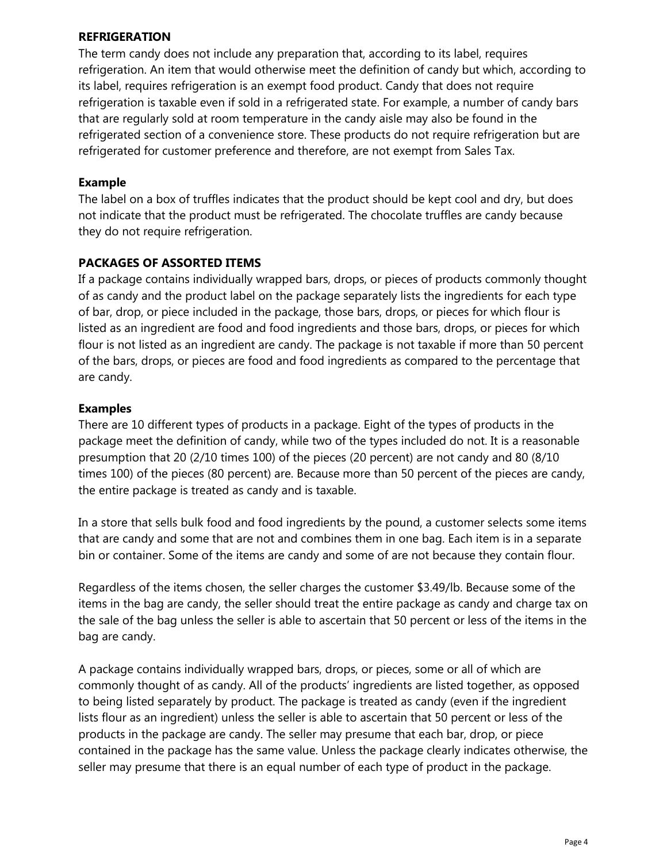### **REFRIGERATION**

The term candy does not include any preparation that, according to its label, requires refrigeration. An item that would otherwise meet the definition of candy but which, according to its label, requires refrigeration is an exempt food product. Candy that does not require refrigeration is taxable even if sold in a refrigerated state. For example, a number of candy bars that are regularly sold at room temperature in the candy aisle may also be found in the refrigerated section of a convenience store. These products do not require refrigeration but are refrigerated for customer preference and therefore, are not exempt from Sales Tax.

## **Example**

The label on a box of truffles indicates that the product should be kept cool and dry, but does not indicate that the product must be refrigerated. The chocolate truffles are candy because they do not require refrigeration.

## **PACKAGES OF ASSORTED ITEMS**

If a package contains individually wrapped bars, drops, or pieces of products commonly thought of as candy and the product label on the package separately lists the ingredients for each type of bar, drop, or piece included in the package, those bars, drops, or pieces for which flour is listed as an ingredient are food and food ingredients and those bars, drops, or pieces for which flour is not listed as an ingredient are candy. The package is not taxable if more than 50 percent of the bars, drops, or pieces are food and food ingredients as compared to the percentage that are candy.

### **Examples**

There are 10 different types of products in a package. Eight of the types of products in the package meet the definition of candy, while two of the types included do not. It is a reasonable presumption that 20 (2/10 times 100) of the pieces (20 percent) are not candy and 80 (8/10 times 100) of the pieces (80 percent) are. Because more than 50 percent of the pieces are candy, the entire package is treated as candy and is taxable.

In a store that sells bulk food and food ingredients by the pound, a customer selects some items that are candy and some that are not and combines them in one bag. Each item is in a separate bin or container. Some of the items are candy and some of are not because they contain flour.

Regardless of the items chosen, the seller charges the customer \$3.49/lb. Because some of the items in the bag are candy, the seller should treat the entire package as candy and charge tax on the sale of the bag unless the seller is able to ascertain that 50 percent or less of the items in the bag are candy.

A package contains individually wrapped bars, drops, or pieces, some or all of which are commonly thought of as candy. All of the products' ingredients are listed together, as opposed to being listed separately by product. The package is treated as candy (even if the ingredient lists flour as an ingredient) unless the seller is able to ascertain that 50 percent or less of the products in the package are candy. The seller may presume that each bar, drop, or piece contained in the package has the same value. Unless the package clearly indicates otherwise, the seller may presume that there is an equal number of each type of product in the package.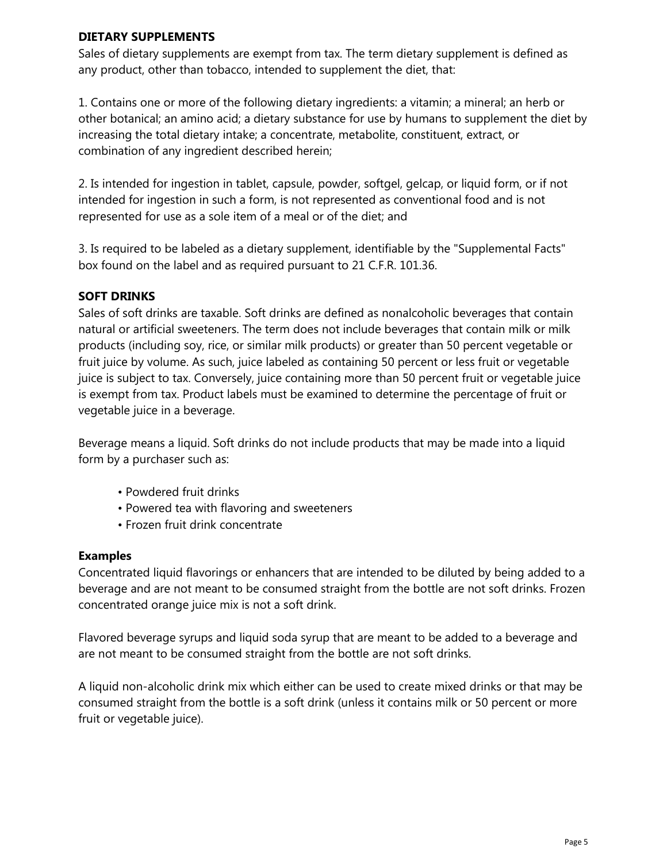### **DIETARY SUPPLEMENTS**

Sales of dietary supplements are exempt from tax. The term dietary supplement is defined as any product, other than tobacco, intended to supplement the diet, that:

1. Contains one or more of the following dietary ingredients: a vitamin; a mineral; an herb or other botanical; an amino acid; a dietary substance for use by humans to supplement the diet by increasing the total dietary intake; a concentrate, metabolite, constituent, extract, or combination of any ingredient described herein;

2. Is intended for ingestion in tablet, capsule, powder, softgel, gelcap, or liquid form, or if not intended for ingestion in such a form, is not represented as conventional food and is not represented for use as a sole item of a meal or of the diet; and

3. Is required to be labeled as a dietary supplement, identifiable by the "Supplemental Facts" box found on the label and as required pursuant to 21 C.F.R. 101.36.

## **SOFT DRINKS**

Sales of soft drinks are taxable. Soft drinks are defined as nonalcoholic beverages that contain natural or artificial sweeteners. The term does not include beverages that contain milk or milk products (including soy, rice, or similar milk products) or greater than 50 percent vegetable or fruit juice by volume. As such, juice labeled as containing 50 percent or less fruit or vegetable juice is subject to tax. Conversely, juice containing more than 50 percent fruit or vegetable juice is exempt from tax. Product labels must be examined to determine the percentage of fruit or vegetable juice in a beverage.

Beverage means a liquid. Soft drinks do not include products that may be made into a liquid form by a purchaser such as:

- Powdered fruit drinks
- Powered tea with flavoring and sweeteners
- Frozen fruit drink concentrate

## **Examples**

Concentrated liquid flavorings or enhancers that are intended to be diluted by being added to a beverage and are not meant to be consumed straight from the bottle are not soft drinks. Frozen concentrated orange juice mix is not a soft drink.

Flavored beverage syrups and liquid soda syrup that are meant to be added to a beverage and are not meant to be consumed straight from the bottle are not soft drinks.

A liquid non-alcoholic drink mix which either can be used to create mixed drinks or that may be consumed straight from the bottle is a soft drink (unless it contains milk or 50 percent or more fruit or vegetable juice).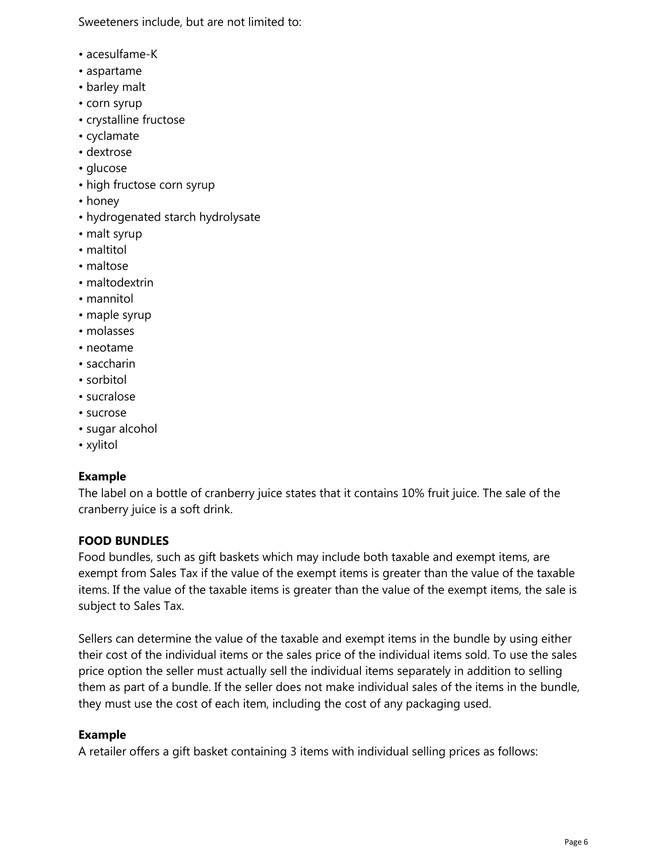Sweeteners include, but are not limited to:

- acesulfame-K
- aspartame
- barley malt
- corn syrup
- crystalline fructose
- cyclamate
- dextrose
- glucose
- high fructose corn syrup
- honey
- hydrogenated starch hydrolysate
- malt syrup
- maltitol
- maltose
- maltodextrin
- mannitol
- maple syrup
- molasses
- neotame
- saccharin
- sorbitol
- sucralose
- sucrose
- sugar alcohol
- xylitol

# **Example**

The label on a bottle of cranberry juice states that it contains 10% fruit juice. The sale of the cranberry juice is a soft drink.

# **FOOD BUNDLES**

Food bundles, such as gift baskets which may include both taxable and exempt items, are exempt from Sales Tax if the value of the exempt items is greater than the value of the taxable items. If the value of the taxable items is greater than the value of the exempt items, the sale is subject to Sales Tax.

Sellers can determine the value of the taxable and exempt items in the bundle by using either their cost of the individual items or the sales price of the individual items sold. To use the sales price option the seller must actually sell the individual items separately in addition to selling them as part of a bundle. If the seller does not make individual sales of the items in the bundle, they must use the cost of each item, including the cost of any packaging used.

# **Example**

A retailer offers a gift basket containing 3 items with individual selling prices as follows: